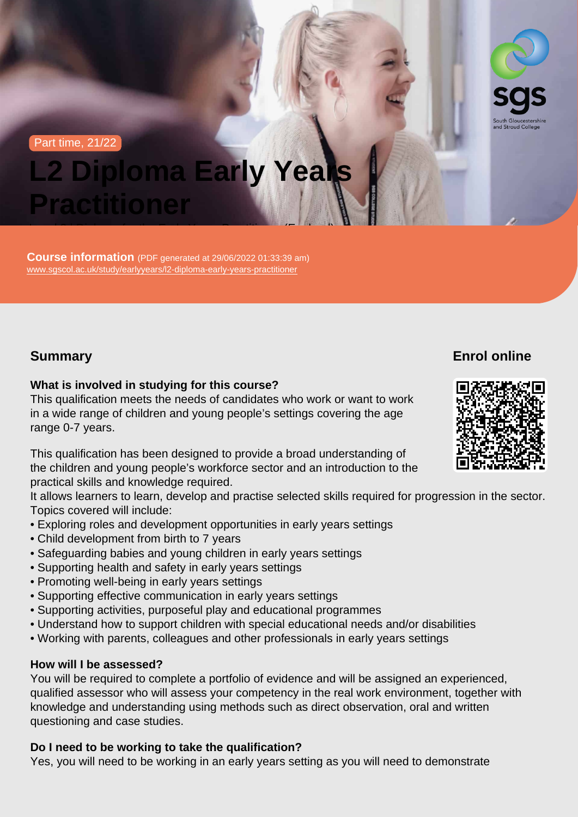#### Part time, 21/22

# L2 Diploma Early Years **Practitioner**

Level 2 | Diploma for the Early Years Practitioner (England)

Course information (PDF generated at 29/06/2022 01:33:39 am) [www.sgscol.ac.uk/study/earlyyears/l2-diploma-early-years-practitioner](https://www.sgscol.ac.uk/study/earlyyears/l2-diploma-early-years-practitioner)

## Summary

Enrol online

What is involved in studying for this course?

This qualification meets the needs of candidates who work or want to work in a wide range of children and young people's settings covering the age range 0-7 years.

This qualification has been designed to provide a broad understanding of the children and young people's workforce sector and an introduction to the practical skills and knowledge required.

It allows learners to learn, develop and practise selected skills required for progression in the sector. Topics covered will include:

- Exploring roles and development opportunities in early years settings
- Child development from birth to 7 years
- Safeguarding babies and young children in early years settings
- Supporting health and safety in early years settings
- Promoting well-being in early years settings
- Supporting effective communication in early years settings
- Supporting activities, purposeful play and educational programmes
- Understand how to support children with special educational needs and/or disabilities
- Working with parents, colleagues and other professionals in early years settings

## How will I be assessed?

You will be required to complete a portfolio of evidence and will be assigned an experienced, qualified assessor who will assess your competency in the real work environment, together with knowledge and understanding using methods such as direct observation, oral and written questioning and case studies.

Do I need to be working to take the qualification?

Yes, you will need to be working in an early years setting as you will need to demonstrate